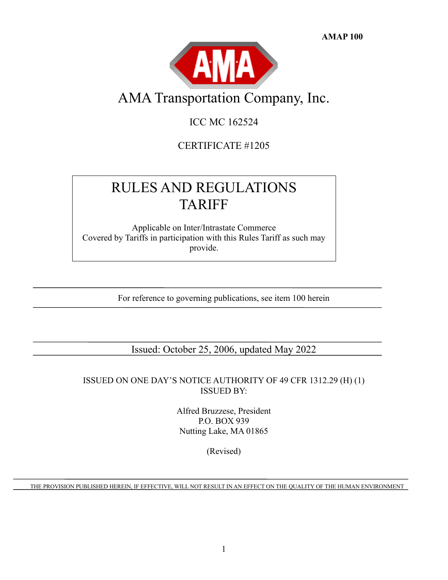**AMAP 100**



# AMA Transportation Company, Inc.

# ICC MC 162524

CERTIFICATE #1205

# RULES AND REGULATIONS TARIFF

Applicable on Inter/Intrastate Commerce Covered by Tariffs in participation with this Rules Tariff as such may provide.

For reference to governing publications, see item 100 herein

Issued: October 25, 2006, updated May 2022

ISSUED ON ONE DAY'S NOTICE AUTHORITY OF 49 CFR 1312.29 (H) (1) ISSUED BY:

> Alfred Bruzzese, President P.O. BOX 939 Nutting Lake, MA 01865

> > (Revised)

THE PROVISION PUBLISHED HEREIN, IF EFFECTIVE, WILL NOT RESULT IN AN EFFECT ON THE QUALITY OF THE HUMAN ENVIRONMENT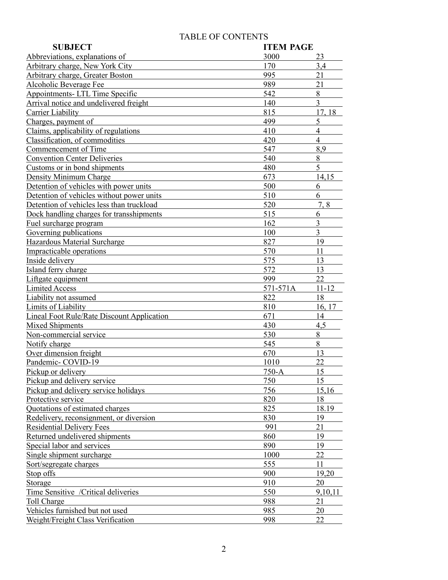# TABLE OF CONTENTS

| <b>SUBJECT</b>                                                    | <b>ITEM PAGE</b> |                |
|-------------------------------------------------------------------|------------------|----------------|
| Abbreviations, explanations of                                    | 3000             | 23             |
| Arbitrary charge, New York City                                   | 170              | 3,4            |
| Arbitrary charge, Greater Boston                                  | 995              | 21             |
| Alcoholic Beverage Fee                                            | 989              | 21             |
| Appointments- LTL Time Specific                                   | 542              | 8              |
| Arrival notice and undelivered freight                            | 140              | $\overline{3}$ |
| <b>Carrier Liability</b>                                          | 815              | 17, 18         |
| Charges, payment of                                               | 499              | 5              |
| Claims, applicability of regulations                              | 410              | $\overline{4}$ |
| Classification, of commodities                                    | 420              | $\overline{4}$ |
| Commencement of Time                                              | 547              | 8,9            |
| <b>Convention Center Deliveries</b>                               | 540              | 8              |
| Customs or in bond shipments                                      | 480              | 5              |
| Density Minimum Charge                                            | 673              | 14,15          |
| Detention of vehicles with power units                            | 500              | 6              |
| Detention of vehicles without power units                         | 510              | 6              |
| Detention of vehicles less than truckload                         | 520              | 7.8            |
| Dock handling charges for transshipments                          | 515              | 6              |
| Fuel surcharge program                                            | 162              | $\overline{3}$ |
| Governing publications                                            | 100              | $\overline{3}$ |
| Hazardous Material Surcharge                                      | 827              | 19             |
| Impracticable operations                                          | 570              | 11             |
| Inside delivery                                                   | 575              | 13             |
| Island ferry charge                                               | 572              | 13             |
| Liftgate equipment                                                | 999              | 22             |
|                                                                   |                  |                |
| <b>Limited Access</b>                                             | 571-571A         | $11 - 12$      |
|                                                                   | 822              | 18             |
| Liability not assumed                                             | 810              | 16, 17         |
| Limits of Liability<br>Lineal Foot Rule/Rate Discount Application | 671              | 14             |
| <b>Mixed Shipments</b>                                            | 430              | 4,5            |
| Non-commercial service                                            | 530              | 8              |
| Notify charge                                                     | 545              | $8\,$          |
| Over dimension freight                                            | 670              | 13             |
| Pandemic-COVID-19                                                 | 1010             | 22             |
|                                                                   |                  | 15             |
| Pickup or delivery                                                | $750-A$<br>750   | 15             |
| Pickup and delivery service                                       | 756              | 15,16          |
| Pickup and delivery service holidays<br>Protective service        | 820              | 18             |
| Quotations of estimated charges                                   | 825              | 18.19          |
| Redelivery, reconsignment, or diversion                           | 830              | 19             |
| <b>Residential Delivery Fees</b>                                  | 991              | 21             |
| Returned undelivered shipments                                    | 860              | 19             |
| Special labor and services                                        | 890              | 19             |
| Single shipment surcharge                                         | 1000             | 22             |
|                                                                   | 555              | 11             |
| Sort/segregate charges<br>Stop offs                               | 900              | 19,20          |
| Storage                                                           | 910              | 20             |
| Time Sensitive / Critical deliveries                              | 550              | 9,10,11        |
| Toll Charge                                                       | 988              | 21             |
| Vehicles furnished but not used                                   | 985              | 20             |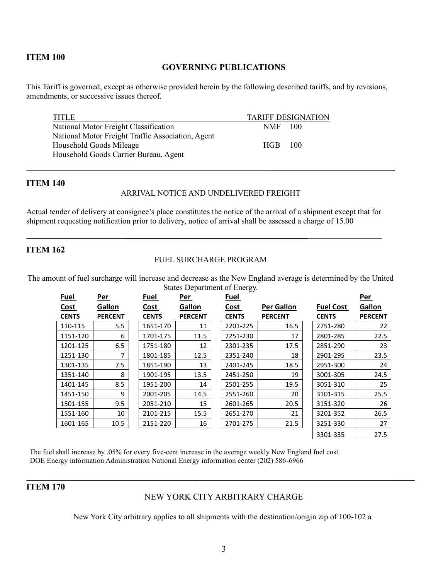## **GOVERNING PUBLICATIONS**

This Tariff is governed, except as otherwise provided herein by the following described tariffs, and by revisions, amendments, or successive issues thereof.

| <b>TITLE</b>                                      |            | <b>TARIFF DESIGNATION</b> |
|---------------------------------------------------|------------|---------------------------|
| National Motor Freight Classification             | NMF 100    |                           |
| National Motor Freight Traffic Association, Agent |            |                           |
| Household Goods Mileage                           | <b>HGB</b> | $-100$                    |
| Household Goods Carrier Bureau, Agent             |            |                           |

#### **ITEM 140**

## ARRIVAL NOTICE AND UNDELIVERED FREIGHT

Actual tender of delivery at consignee's place constitutes the notice of the arrival of a shipment except that for shipment requesting notification prior to delivery, notice of arrival shall be assessed a charge of 15.00

## **ITEM 162**

#### FUEL SURCHARGE PROGRAM

The amount of fuel surcharge will increase and decrease as the New England average is determined by the United States Department of Energy.

| Fuel         | Per            | Fuel         | Per            | ັ<br>Fuel    |                   |                  | Per            |
|--------------|----------------|--------------|----------------|--------------|-------------------|------------------|----------------|
| Cost         | Gallon         | Cost         | Gallon         | Cost         | <b>Per Gallon</b> | <b>Fuel Cost</b> | Gallon         |
| <b>CENTS</b> | <b>PERCENT</b> | <b>CENTS</b> | <b>PERCENT</b> | <b>CENTS</b> | <b>PERCENT</b>    | <b>CENTS</b>     | <b>PERCENT</b> |
| 110-115      | 5.5            | 1651-170     | 11             | 2201-225     | 16.5              | 2751-280         | 22             |
| 1151-120     | 6              | 1701-175     | 11.5           | 2251-230     | 17                | 2801-285         | 22.5           |
| 1201-125     | 6.5            | 1751-180     | 12             | 2301-235     | 17.5              | 2851-290         | 23             |
| 1251-130     | 7              | 1801-185     | 12.5           | 2351-240     | 18                | 2901-295         | 23.5           |
| 1301-135     | 7.5            | 1851-190     | 13             | 2401-245     | 18.5              | 2951-300         | 24             |
| 1351-140     | 8              | 1901-195     | 13.5           | 2451-250     | 19                | 3001-305         | 24.5           |
| 1401-145     | 8.5            | 1951-200     | 14             | 2501-255     | 19.5              | 3051-310         | 25             |
| 1451-150     | 9              | 2001-205     | 14.5           | 2551-260     | 20                | 3101-315         | 25.5           |
| 1501-155     | 9.5            | 2051-210     | 15             | 2601-265     | 20.5              | 3151-320         | 26             |
| 1551-160     | 10             | 2101-215     | 15.5           | 2651-270     | 21                | 3201-352         | 26.5           |
| 1601-165     | 10.5           | 2151-220     | 16             | 2701-275     | 21.5              | 3251-330         | 27             |
|              |                |              |                |              |                   | 3301-335         | 27.5           |

The fuel shall increase by .05% for every five-cent increase in the average weekly New England fuel cost. DOE Energy information Administration National Energy information center (202) 586-6966

## **ITEM 170**

## NEW YORK CITY ARBITRARY CHARGE

New York City arbitrary applies to all shipments with the destination/origin zip of 100-102 a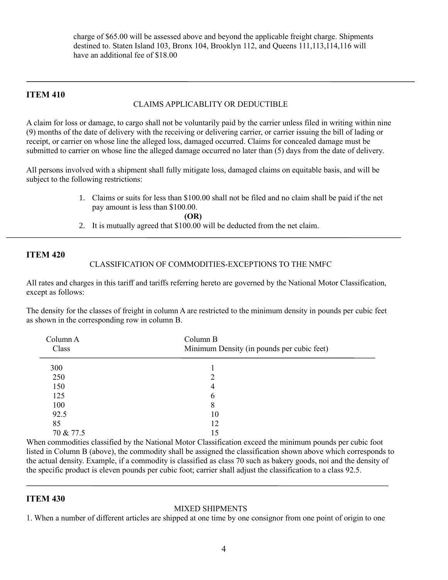charge of \$65.00 will be assessed above and beyond the applicable freight charge. Shipments destined to. Staten Island 103, Bronx 104, Brooklyn 112, and Queens 111,113,114,116 will have an additional fee of \$18.00

#### **ITEM 410**

## CLAIMS APPLICABLITY OR DEDUCTIBLE

A claim for loss or damage, to cargo shall not be voluntarily paid by the carrier unless filed in writing within nine (9) months of the date of delivery with the receiving or delivering carrier, or carrier issuing the bill of lading or receipt, or carrier on whose line the alleged loss, damaged occurred. Claims for concealed damage must be submitted to carrier on whose line the alleged damage occurred no later than (5) days from the date of delivery.

All persons involved with a shipment shall fully mitigate loss, damaged claims on equitable basis, and will be subject to the following restrictions:

> 1. Claims or suits for less than \$100.00 shall not be filed and no claim shall be paid if the net pay amount is less than \$100.00.

> > **(OR)**

2. It is mutually agreed that \$100.00 will be deducted from the net claim.

#### **ITEM 420**

#### CLASSIFICATION OF COMMODITIES-EXCEPTIONS TO THE NMFC

All rates and charges in this tariff and tariffs referring hereto are governed by the National Motor Classification, except as follows:

The density for the classes of freight in column A are restricted to the minimum density in pounds per cubic feet as shown in the corresponding row in column B.

| Column A<br>Class | Column B<br>Minimum Density (in pounds per cubic feet) |
|-------------------|--------------------------------------------------------|
| 300               |                                                        |
| 250               | ∍                                                      |
| 150               | 4                                                      |
| 125               | 6                                                      |
| 100               | 8                                                      |
| 92.5              | 10                                                     |
| 85                | 12                                                     |
| 70 & 77.5         | 15                                                     |

When commodities classified by the National Motor Classification exceed the minimum pounds per cubic foot listed in Column B (above), the commodity shall be assigned the classification shown above which corresponds to the actual density. Example, if a commodity is classified as class 70 such as bakery goods, noi and the density of the specific product is eleven pounds per cubic foot; carrier shall adjust the classification to a class 92.5.

#### **ITEM 430**

#### MIXED SHIPMENTS

1. When a number of different articles are shipped at one time by one consignor from one point of origin to one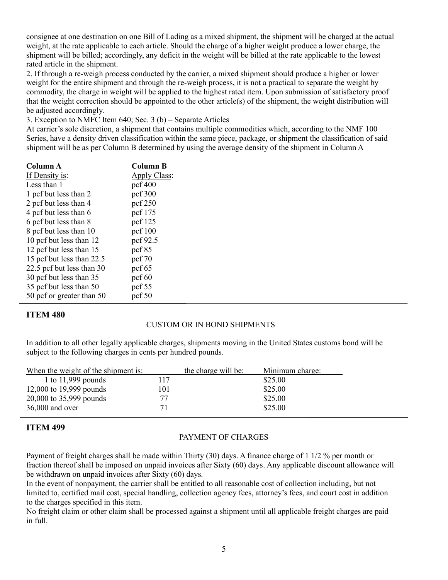consignee at one destination on one Bill of Lading as a mixed shipment, the shipment will be charged at the actual weight, at the rate applicable to each article. Should the charge of a higher weight produce a lower charge, the shipment will be billed; accordingly, any deficit in the weight will be billed at the rate applicable to the lowest rated article in the shipment.

2. If through a re-weigh process conducted by the carrier, a mixed shipment should produce a higher or lower weight for the entire shipment and through the re-weigh process, it is not a practical to separate the weight by commodity, the charge in weight will be applied to the highest rated item. Upon submission of satisfactory proof that the weight correction should be appointed to the other article(s) of the shipment, the weight distribution will be adjusted accordingly.

3. Exception to NMFC Item 640; Sec. 3 (b) – Separate Articles

At carrier's sole discretion, a shipment that contains multiple commodities which, according to the NMF 100 Series, have a density driven classification within the same piece, package, or shipment the classification of said shipment will be as per Column B determined by using the average density of the shipment in Column A

| Column B     |
|--------------|
| Apply Class: |
| pcf 400      |
| pcf 300      |
| pcf 250      |
| pcf 175      |
| pcf 125      |
| pcf $100$    |
| pcf 92.5     |
| pcf $85$     |
| pcf $70$     |
| pcf $65$     |
| pcf $60$     |
| pcf $55$     |
| pcf $50$     |
|              |

## **ITEM 480**

## CUSTOM OR IN BOND SHIPMENTS

In addition to all other legally applicable charges, shipments moving in the United States customs bond will be subject to the following charges in cents per hundred pounds.

| When the weight of the shipment is: |     | the charge will be: | Minimum charge: |
|-------------------------------------|-----|---------------------|-----------------|
| 1 to $11,999$ pounds                | 117 |                     | \$25.00         |
| 12,000 to 19,999 pounds             | 101 |                     | \$25.00         |
| 20,000 to 35,999 pounds             |     |                     | \$25.00         |
| 36,000 and over                     |     |                     | \$25.00         |
|                                     |     |                     |                 |

## **ITEM 499**

## PAYMENT OF CHARGES

Payment of freight charges shall be made within Thirty (30) days. A finance charge of 1 1/2 % per month or fraction thereof shall be imposed on unpaid invoices after Sixty (60) days. Any applicable discount allowance will be withdrawn on unpaid invoices after Sixty (60) days.

In the event of nonpayment, the carrier shall be entitled to all reasonable cost of collection including, but not limited to, certified mail cost, special handling, collection agency fees, attorney's fees, and court cost in addition to the charges specified in this item.

No freight claim or other claim shall be processed against a shipment until all applicable freight charges are paid in full.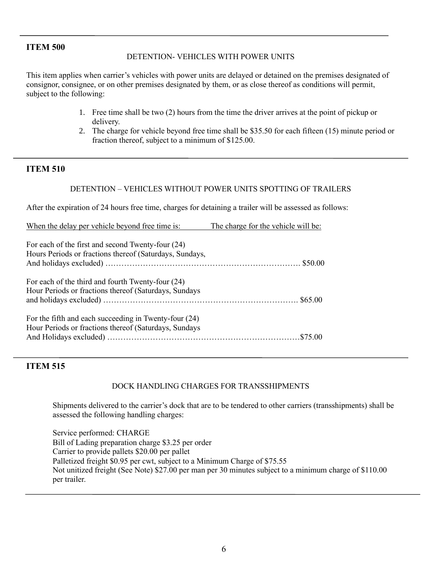#### DETENTION- VEHICLES WITH POWER UNITS

This item applies when carrier's vehicles with power units are delayed or detained on the premises designated of consignor, consignee, or on other premises designated by them, or as close thereof as conditions will permit, subject to the following:

- 1. Free time shall be two (2) hours from the time the driver arrives at the point of pickup or delivery.
- 2. The charge for vehicle beyond free time shall be \$35.50 for each fifteen (15) minute period or fraction thereof, subject to a minimum of \$125.00.

## **ITEM 510**

#### DETENTION – VEHICLES WITHOUT POWER UNITS SPOTTING OF TRAILERS

After the expiration of 24 hours free time, charges for detaining a trailer will be assessed as follows:

| When the delay per vehicle beyond free time is:                                                                | The charge for the vehicle will be: |
|----------------------------------------------------------------------------------------------------------------|-------------------------------------|
| For each of the first and second Twenty-four (24)<br>Hours Periods or fractions thereof (Saturdays, Sundays,   |                                     |
| For each of the third and fourth Twenty-four (24)<br>Hour Periods or fractions thereof (Saturdays, Sundays     |                                     |
| For the fifth and each succeeding in Twenty-four (24)<br>Hour Periods or fractions thereof (Saturdays, Sundays |                                     |

#### **ITEM 515**

#### DOCK HANDLING CHARGES FOR TRANSSHIPMENTS

Shipments delivered to the carrier's dock that are to be tendered to other carriers (transshipments) shall be assessed the following handling charges:

Service performed: CHARGE Bill of Lading preparation charge \$3.25 per order Carrier to provide pallets \$20.00 per pallet Palletized freight \$0.95 per cwt, subject to a Minimum Charge of \$75.55 Not unitized freight (See Note) \$27.00 per man per 30 minutes subject to a minimum charge of \$110.00 per trailer.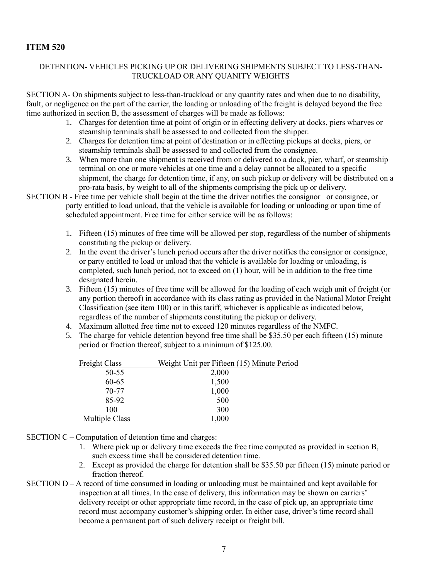#### DETENTION- VEHICLES PICKING UP OR DELIVERING SHIPMENTS SUBJECT TO LESS-THAN-TRUCKLOAD OR ANY QUANITY WEIGHTS

SECTION A- On shipments subject to less-than-truckload or any quantity rates and when due to no disability, fault, or negligence on the part of the carrier, the loading or unloading of the freight is delayed beyond the free time authorized in section B, the assessment of charges will be made as follows:

- 1. Charges for detention time at point of origin or in effecting delivery at docks, piers wharves or steamship terminals shall be assessed to and collected from the shipper.
- 2. Charges for detention time at point of destination or in effecting pickups at docks, piers, or steamship terminals shall be assessed to and collected from the consignee.
- 3. When more than one shipment is received from or delivered to a dock, pier, wharf, or steamship terminal on one or more vehicles at one time and a delay cannot be allocated to a specific shipment, the charge for detention time, if any, on such pickup or delivery will be distributed on a pro-rata basis, by weight to all of the shipments comprising the pick up or delivery.
- SECTION B Free time per vehicle shall begin at the time the driver notifies the consignor or consignee, or party entitled to load unload, that the vehicle is available for loading or unloading or upon time of scheduled appointment. Free time for either service will be as follows:
	- 1. Fifteen (15) minutes of free time will be allowed per stop, regardless of the number of shipments constituting the pickup or delivery.
	- 2. In the event the driver's lunch period occurs after the driver notifies the consignor or consignee, or party entitled to load or unload that the vehicle is available for loading or unloading, is completed, such lunch period, not to exceed on (1) hour, will be in addition to the free time designated herein.
	- 3. Fifteen (15) minutes of free time will be allowed for the loading of each weigh unit of freight (or any portion thereof) in accordance with its class rating as provided in the National Motor Freight Classification (see item 100) or in this tariff, whichever is applicable as indicated below, regardless of the number of shipments constituting the pickup or delivery.
	- 4. Maximum allotted free time not to exceed 120 minutes regardless of the NMFC.
	- 5. The charge for vehicle detention beyond free time shall be \$35.50 per each fifteen (15) minute period or fraction thereof, subject to a minimum of \$125.00.

| Freight Class  | Weight Unit per Fifteen (15) Minute Period |
|----------------|--------------------------------------------|
| $50 - 55$      | 2,000                                      |
| 60-65          | 1,500                                      |
| 70-77          | 1,000                                      |
| 85-92          | 500                                        |
| 100            | 300                                        |
| Multiple Class | 1,000                                      |

- SECTION C Computation of detention time and charges:
	- 1. Where pick up or delivery time exceeds the free time computed as provided in section B, such excess time shall be considered detention time.
	- 2. Except as provided the charge for detention shall be \$35.50 per fifteen (15) minute period or fraction thereof.
- SECTION D A record of time consumed in loading or unloading must be maintained and kept available for inspection at all times. In the case of delivery, this information may be shown on carriers' delivery receipt or other appropriate time record, in the case of pick up, an appropriate time record must accompany customer's shipping order. In either case, driver's time record shall become a permanent part of such delivery receipt or freight bill.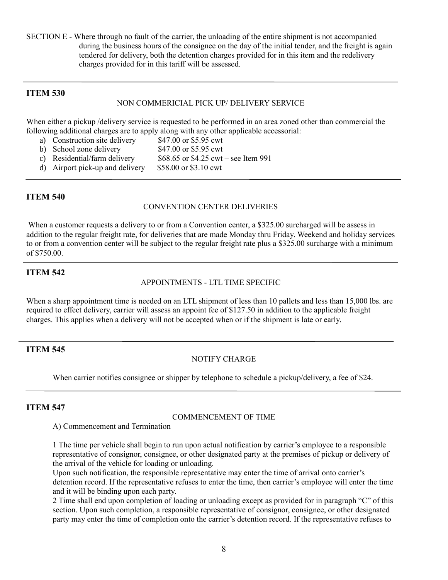SECTION E - Where through no fault of the carrier, the unloading of the entire shipment is not accompanied during the business hours of the consignee on the day of the initial tender, and the freight is again tendered for delivery, both the detention charges provided for in this item and the redelivery charges provided for in this tariff will be assessed.

#### **ITEM 530**

#### NON COMMERICIAL PICK UP/ DELIVERY SERVICE

When either a pickup /delivery service is requested to be performed in an area zoned other than commercial the following additional charges are to apply along with any other applicable accessorial:

- a) Construction site delivery \$47.00 or \$5.95 cwt
- b) School zone delivery \$47.00 or \$5.95 cwt
- c) Residential/farm delivery  $$68.65$  or \$4.25 cwt see Item 991
- d) Airport pick-up and delivery \$58.00 or \$3.10 cwt

#### **ITEM 540**

#### CONVENTION CENTER DELIVERIES

When a customer requests a delivery to or from a Convention center, a \$325.00 surcharged will be assess in addition to the regular freight rate, for deliveries that are made Monday thru Friday. Weekend and holiday services to or from a convention center will be subject to the regular freight rate plus a \$325.00 surcharge with a minimum of \$750.00.

#### **ITEM 542**

#### APPOINTMENTS - LTL TIME SPECIFIC

When a sharp appointment time is needed on an LTL shipment of less than 10 pallets and less than 15,000 lbs. are required to effect delivery, carrier will assess an appoint fee of \$127.50 in addition to the applicable freight charges. This applies when a delivery will not be accepted when or if the shipment is late or early.

## **ITEM 545**

## NOTIFY CHARGE

When carrier notifies consignee or shipper by telephone to schedule a pickup/delivery, a fee of \$24.

## **ITEM 547**

#### COMMENCEMENT OF TIME

A) Commencement and Termination

1 The time per vehicle shall begin to run upon actual notification by carrier's employee to a responsible representative of consignor, consignee, or other designated party at the premises of pickup or delivery of the arrival of the vehicle for loading or unloading.

Upon such notification, the responsible representative may enter the time of arrival onto carrier's detention record. If the representative refuses to enter the time, then carrier's employee will enter the time and it will be binding upon each party.

2 Time shall end upon completion of loading or unloading except as provided for in paragraph "C" of this section. Upon such completion, a responsible representative of consignor, consignee, or other designated party may enter the time of completion onto the carrier's detention record. If the representative refuses to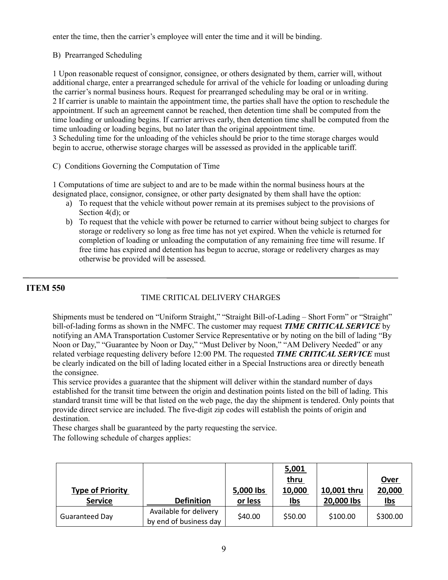enter the time, then the carrier's employee will enter the time and it will be binding.

#### B) Prearranged Scheduling

1 Upon reasonable request of consignor, consignee, or others designated by them, carrier will, without additional charge, enter a prearranged schedule for arrival of the vehicle for loading or unloading during the carrier's normal business hours. Request for prearranged scheduling may be oral or in writing. 2 If carrier is unable to maintain the appointment time, the parties shall have the option to reschedule the appointment. If such an agreement cannot be reached, then detention time shall be computed from the time loading or unloading begins. If carrier arrives early, then detention time shall be computed from the time unloading or loading begins, but no later than the original appointment time. 3 Scheduling time for the unloading of the vehicles should be prior to the time storage charges would begin to accrue, otherwise storage charges will be assessed as provided in the applicable tariff.

C) Conditions Governing the Computation of Time

1 Computations of time are subject to and are to be made within the normal business hours at the designated place, consignor, consignee, or other party designated by them shall have the option:

- a) To request that the vehicle without power remain at its premises subject to the provisions of Section 4(d); or
- b) To request that the vehicle with power be returned to carrier without being subject to charges for storage or redelivery so long as free time has not yet expired. When the vehicle is returned for completion of loading or unloading the computation of any remaining free time will resume. If free time has expired and detention has begun to accrue, storage or redelivery charges as may otherwise be provided will be assessed.

## **ITEM 550**

## TIME CRITICAL DELIVERY CHARGES

Shipments must be tendered on "Uniform Straight," "Straight Bill-of-Lading – Short Form" or "Straight" bill-of-lading forms as shown in the NMFC. The customer may request *TIME CRITICAL SERVICE* by notifying an AMA Transportation Customer Service Representative or by noting on the bill of lading "By Noon or Day," "Guarantee by Noon or Day," "Must Deliver by Noon," "AM Delivery Needed" or any related verbiage requesting delivery before 12:00 PM. The requested *TIME CRITICAL SERVICE* must be clearly indicated on the bill of lading located either in a Special Instructions area or directly beneath the consignee.

This service provides a guarantee that the shipment will deliver within the standard number of days established for the transit time between the origin and destination points listed on the bill of lading. This standard transit time will be that listed on the web page, the day the shipment is tendered. Only points that provide direct service are included. The five-digit zip codes will establish the points of origin and destination.

These charges shall be guaranteed by the party requesting the service.

The following schedule of charges applies:

| <b>Type of Priority</b> |                                                  | 5,000 lbs | 5,001<br><u>thru</u><br>10,000 | 10,001 thru | <u>Over</u><br>20,000 |
|-------------------------|--------------------------------------------------|-----------|--------------------------------|-------------|-----------------------|
| <b>Service</b>          | <b>Definition</b>                                | or less   | <u>Ibs</u>                     | 20,000 lbs  | <u>Ibs</u>            |
| <b>Guaranteed Day</b>   | Available for delivery<br>by end of business day | \$40.00   | \$50.00                        | \$100.00    | \$300.00              |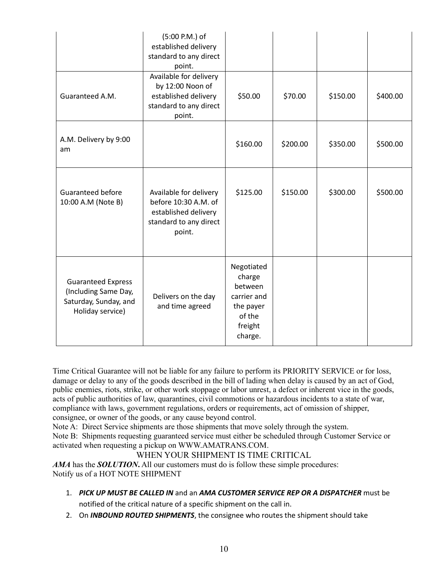|                                                                                                | (5:00 P.M.) of<br>established delivery<br>standard to any direct<br>point.                                 |                                                                                             |          |          |          |
|------------------------------------------------------------------------------------------------|------------------------------------------------------------------------------------------------------------|---------------------------------------------------------------------------------------------|----------|----------|----------|
| Guaranteed A.M.                                                                                | Available for delivery<br>by 12:00 Noon of<br>established delivery<br>standard to any direct<br>point.     | \$50.00                                                                                     | \$70.00  | \$150.00 | \$400.00 |
| A.M. Delivery by 9:00<br>am                                                                    |                                                                                                            | \$160.00                                                                                    | \$200.00 | \$350.00 | \$500.00 |
| Guaranteed before<br>10:00 A.M (Note B)                                                        | Available for delivery<br>before 10:30 A.M. of<br>established delivery<br>standard to any direct<br>point. | \$125.00                                                                                    | \$150.00 | \$300.00 | \$500.00 |
| <b>Guaranteed Express</b><br>(Including Same Day,<br>Saturday, Sunday, and<br>Holiday service) | Delivers on the day<br>and time agreed                                                                     | Negotiated<br>charge<br>between<br>carrier and<br>the payer<br>of the<br>freight<br>charge. |          |          |          |

Time Critical Guarantee will not be liable for any failure to perform its PRIORITY SERVICE or for loss, damage or delay to any of the goods described in the bill of lading when delay is caused by an act of God, public enemies, riots, strike, or other work stoppage or labor unrest, a defect or inherent vice in the goods, acts of public authorities of law, quarantines, civil commotions or hazardous incidents to a state of war, compliance with laws, government regulations, orders or requirements, act of omission of shipper, consignee, or owner of the goods, or any cause beyond control.

Note A: Direct Service shipments are those shipments that move solely through the system. Note B: Shipments requesting guaranteed service must either be scheduled through Customer Service or

## activated when requesting a pickup on WWW.AMATRANS.COM.

## WHEN YOUR SHIPMENT IS TIME CRITICAL

*AMA* has the *SOLUTION***.** All our customers must do is follow these simple procedures: Notify us of a HOT NOTE SHIPMENT

1. *PICK UP MUST BE CALLED IN* and an *AMA CUSTOMER SERVICE REP OR A DISPATCHER* must be

notified of the critical nature of a specific shipment on the call in.

2. On *INBOUND ROUTED SHIPMENTS*, the consignee who routes the shipment should take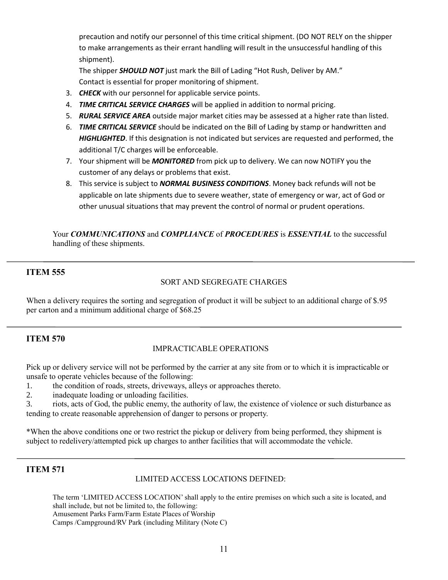precaution and notify our personnel of this time critical shipment. (DO NOT RELY on the shipper to make arrangements as their errant handling will result in the unsuccessful handling of this shipment).

The shipper *SHOULD NOT* just mark the Bill of Lading "Hot Rush, Deliver by AM." Contact is essential for proper monitoring of shipment.

- 3. *CHECK* with our personnel for applicable service points.
- 4. *TIME CRITICAL SERVICE CHARGES* will be applied in addition to normal pricing.
- 5. *RURAL SERVICE AREA* outside major market cities may be assessed at a higher rate than listed.
- 6. *TIME CRITICAL SERVICE* should be indicated on the Bill of Lading by stamp or handwritten and *HIGHLIGHTED*. If this designation is not indicated but services are requested and performed, the additional T/C charges will be enforceable.
- 7. Your shipment will be *MONITORED* from pick up to delivery. We can now NOTIFY you the customer of any delays or problems that exist.
- 8. This service is subject to *NORMAL BUSINESS CONDITIONS*. Money back refunds will not be applicable on late shipments due to severe weather, state of emergency or war, act of God or other unusual situations that may prevent the control of normal or prudent operations.

Your *COMMUNICATIONS* and *COMPLIANCE* of *PROCEDURES* is *ESSENTIAL* to the successful handling of these shipments.

## **ITEM 555**

#### SORT AND SEGREGATE CHARGES

When a delivery requires the sorting and segregation of product it will be subject to an additional charge of \$.95 per carton and a minimum additional charge of \$68.25

## **ITEM 570**

## IMPRACTICABLE OPERATIONS

Pick up or delivery service will not be performed by the carrier at any site from or to which it is impracticable or unsafe to operate vehicles because of the following:

- 1. the condition of roads, streets, driveways, alleys or approaches thereto.
- 2. inadequate loading or unloading facilities.
- 3. riots, acts of God, the public enemy, the authority of law, the existence of violence or such disturbance as tending to create reasonable apprehension of danger to persons or property.

\*When the above conditions one or two restrict the pickup or delivery from being performed, they shipment is subject to redelivery/attempted pick up charges to anther facilities that will accommodate the vehicle.

## **ITEM 571**

#### LIMITED ACCESS LOCATIONS DEFINED:

The term 'LIMITED ACCESS LOCATION' shall apply to the entire premises on which such a site is located, and shall include, but not be limited to, the following: Amusement Parks Farm/Farm Estate Places of Worship Camps /Campground/RV Park (including Military (Note C)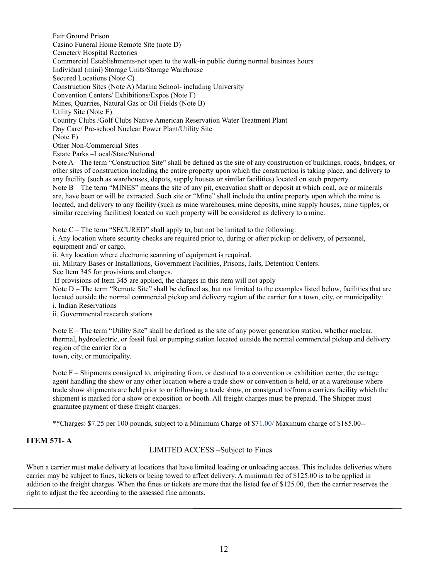Fair Ground Prison Casino Funeral Home Remote Site (note D) Cemetery Hospital Rectories Commercial Establishments-not open to the walk-in public during normal business hours Individual (mini) Storage Units/Storage Warehouse Secured Locations (Note C) Construction Sites (Note A) Marina School- including University Convention Centers/ Exhibitions/Expos (Note F) Mines, Quarries, Natural Gas or Oil Fields (Note B) Utility Site (Note E) Country Clubs /Golf Clubs Native American Reservation Water Treatment Plant Day Care/ Pre-school Nuclear Power Plant/Utility Site (Note E) Other Non-Commercial Sites Estate Parks –Local/State/National

Note A – The term "Construction Site" shall be defined as the site of any construction of buildings, roads, bridges, or other sites of construction including the entire property upon which the construction is taking place, and delivery to any facility (such as warehouses, depots, supply houses or similar facilities) located on such property. Note B – The term "MINES" means the site of any pit, excavation shaft or deposit at which coal, ore or minerals are, have been or will be extracted. Such site or "Mine" shall include the entire property upon which the mine is located, and delivery to any facility (such as mine warehouses, mine deposits, mine supply houses, mine tipples, or similar receiving facilities) located on such property will be considered as delivery to a mine.

Note  $C$  – The term "SECURED" shall apply to, but not be limited to the following:

i. Any location where security checks are required prior to, during or after pickup or delivery, of personnel, equipment and/ or cargo.

ii. Any location where electronic scanning of equipment is required.

iii. Military Bases or Installations, Government Facilities, Prisons, Jails, Detention Centers.

See Item 345 for provisions and charges.

If provisions of Item 345 are applied, the charges in this item will not apply

Note D – The term "Remote Site" shall be defined as, but not limited to the examples listed below, facilities that are located outside the normal commercial pickup and delivery region of the carrier for a town, city, or municipality: i. Indian Reservations

ii. Governmental research stations

Note E – The term "Utility Site" shall be defined as the site of any power generation station, whether nuclear, thermal, hydroelectric, or fossil fuel or pumping station located outside the normal commercial pickup and delivery region of the carrier for a

town, city, or municipality.

Note F – Shipments consigned to, originating from, or destined to a convention or exhibition center, the cartage agent handling the show or any other location where a trade show or convention is held, or at a warehouse where trade show shipments are held prior to or following a trade show, or consigned to/from a carriers facility which the shipment is marked for a show or exposition or booth. All freight charges must be prepaid. The Shipper must guarantee payment of these freight charges.

\*\*Charges: \$7.25 per 100 pounds, subject to a Minimum Charge of \$71.00/ Maximum charge of \$185.00--

## **ITEM 571- A**

#### LIMITED ACCESS –Subject to Fines

When a carrier must make delivery at locations that have limited loading or unloading access. This includes deliveries where carrier may be subject to fines, tickets or being towed to affect delivery. A minimum fee of \$125.00 is to be applied in addition to the freight charges. When the fines or tickets are more that the listed fee of \$125.00, then the carrier reserves the right to adjust the fee according to the assessed fine amounts.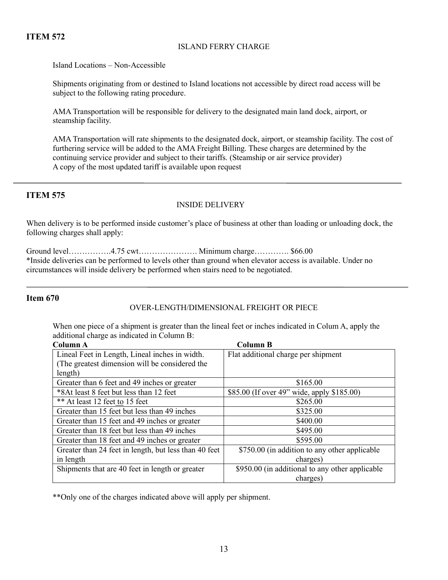#### ISLAND FERRY CHARGE

Island Locations – Non-Accessible

Shipments originating from or destined to Island locations not accessible by direct road access will be subject to the following rating procedure.

AMA Transportation will be responsible for delivery to the designated main land dock, airport, or steamship facility.

AMA Transportation will rate shipments to the designated dock, airport, or steamship facility. The cost of furthering service will be added to the AMA Freight Billing. These charges are determined by the continuing service provider and subject to their tariffs. (Steamship or air service provider) A copy of the most updated tariff is available upon request

## **ITEM 575**

#### INSIDE DELIVERY

When delivery is to be performed inside customer's place of business at other than loading or unloading dock, the following charges shall apply:

Ground level…………….4.75 cwt…………………. Minimum charge…………. \$66.00 \*Inside deliveries can be performed to levels other than ground when elevator access is available. Under no circumstances will inside delivery be performed when stairs need to be negotiated.

#### **Item 670**

#### OVER-LENGTH/DIMENSIONAL FREIGHT OR PIECE

When one piece of a shipment is greater than the lineal feet or inches indicated in Colum A, apply the additional charge as indicated in Column B:

| Column A                                              | <b>Column B</b>                                 |  |  |
|-------------------------------------------------------|-------------------------------------------------|--|--|
| Lineal Feet in Length, Lineal inches in width.        | Flat additional charge per shipment             |  |  |
| (The greatest dimension will be considered the        |                                                 |  |  |
| length)                                               |                                                 |  |  |
| Greater than 6 feet and 49 inches or greater          | \$165.00                                        |  |  |
| *8At least 8 feet but less than 12 feet               | \$85.00 (If over 49" wide, apply \$185.00)      |  |  |
| ** At least 12 feet to 15 feet                        | \$265.00                                        |  |  |
| Greater than 15 feet but less than 49 inches          | \$325.00                                        |  |  |
| Greater than 15 feet and 49 inches or greater         | \$400.00                                        |  |  |
| Greater than 18 feet but less than 49 inches          | \$495.00                                        |  |  |
| Greater than 18 feet and 49 inches or greater         | \$595.00                                        |  |  |
| Greater than 24 feet in length, but less than 40 feet | \$750.00 (in addition to any other applicable   |  |  |
| in length                                             | charges)                                        |  |  |
| Shipments that are 40 feet in length or greater       | \$950.00 (in additional to any other applicable |  |  |
|                                                       | charges)                                        |  |  |

\*\*Only one of the charges indicated above will apply per shipment.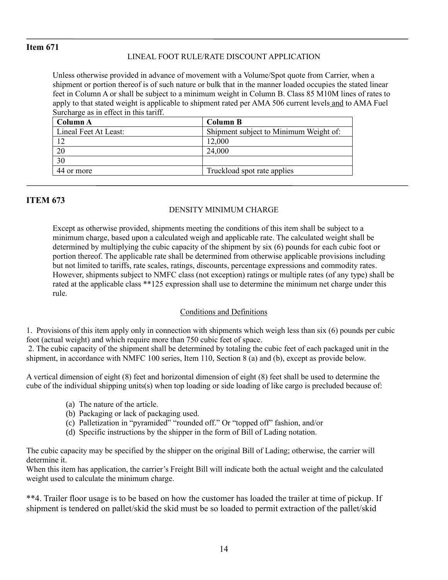## **Item 671**

## LINEAL FOOT RULE/RATE DISCOUNT APPLICATION

Unless otherwise provided in advance of movement with a Volume/Spot quote from Carrier, when a shipment or portion thereof is of such nature or bulk that in the manner loaded occupies the stated linear feet in Column A or shall be subject to a minimum weight in Column B. Class 85 M10M lines of rates to apply to that stated weight is applicable to shipment rated per AMA 506 current levels and to AMA Fuel Surcharge as in effect in this tariff.

| Column A              | <b>Column B</b>                        |
|-----------------------|----------------------------------------|
| Lineal Feet At Least: | Shipment subject to Minimum Weight of: |
|                       | 12,000                                 |
| 20                    | 24,000                                 |
| 30                    |                                        |
| 44 or more            | Truckload spot rate applies            |

## **ITEM 673**

#### DENSITY MINIMUM CHARGE

Except as otherwise provided, shipments meeting the conditions of this item shall be subject to a minimum charge, based upon a calculated weigh and applicable rate. The calculated weight shall be determined by multiplying the cubic capacity of the shipment by six (6) pounds for each cubic foot or portion thereof. The applicable rate shall be determined from otherwise applicable provisions including but not limited to tariffs, rate scales, ratings, discounts, percentage expressions and commodity rates. However, shipments subject to NMFC class (not exception) ratings or multiple rates (of any type) shall be rated at the applicable class \*\*125 expression shall use to determine the minimum net charge under this rule.

## Conditions and Definitions

1. Provisions of this item apply only in connection with shipments which weigh less than six (6) pounds per cubic foot (actual weight) and which require more than 750 cubic feet of space.

2. The cubic capacity of the shipment shall be determined by totaling the cubic feet of each packaged unit in the shipment, in accordance with NMFC 100 series, Item 110, Section 8 (a) and (b), except as provide below.

A vertical dimension of eight (8) feet and horizontal dimension of eight (8) feet shall be used to determine the cube of the individual shipping units(s) when top loading or side loading of like cargo is precluded because of:

- (a) The nature of the article.
- (b) Packaging or lack of packaging used.
- (c) Palletization in "pyramided" "rounded off." Or "topped off" fashion, and/or
- (d) Specific instructions by the shipper in the form of Bill of Lading notation.

The cubic capacity may be specified by the shipper on the original Bill of Lading; otherwise, the carrier will determine it.

When this item has application, the carrier's Freight Bill will indicate both the actual weight and the calculated weight used to calculate the minimum charge.

\*\*4. Trailer floor usage is to be based on how the customer has loaded the trailer at time of pickup. If shipment is tendered on pallet/skid the skid must be so loaded to permit extraction of the pallet/skid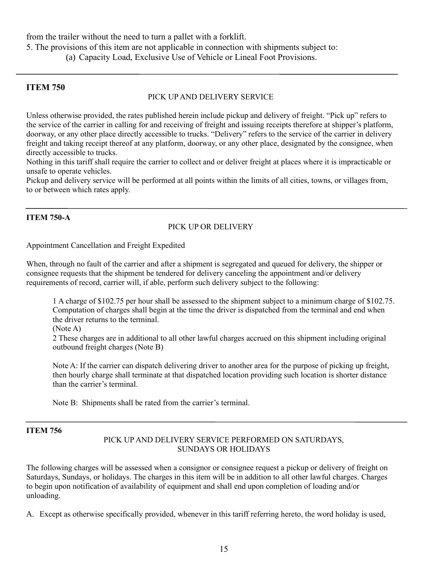from the trailer without the need to turn a pallet with a forklift.

5. The provisions of this item are not applicable in connection with shipments subject to:

(a) Capacity Load, Exclusive Use of Vehicle or Lineal Foot Provisions.

## **ITEM 750**

## PICK UP AND DELIVERY SERVICE

Unless otherwise provided, the rates published herein include pickup and delivery of freight. "Pick up" refers to the service of the carrier in calling for and receiving of freight and issuing receipts therefore at shipper's platform, doorway, or any other place directly accessible to trucks. "Delivery" refers to the service of the carrier in delivery freight and taking receipt thereof at any platform, doorway, or any other place, designated by the consignee, when directly accessible to trucks.

Nothing in this tariff shall require the carrier to collect and or deliver freight at places where it is impracticable or unsafe to operate vehicles.

Pickup and delivery service will be performed at all points within the limits of all cities, towns, or villages from, to or between which rates apply.

## **ITEM 750-A**

## PICK UP OR DELIVERY

Appointment Cancellation and Freight Expedited

When, through no fault of the carrier and after a shipment is segregated and queued for delivery, the shipper or consignee requests that the shipment be tendered for delivery canceling the appointment and/or delivery requirements of record, carrier will, if able, perform such delivery subject to the following:

1 A charge of \$102.75 per hour shall be assessed to the shipment subject to a minimum charge of \$102.75. Computation of charges shall begin at the time the driver is dispatched from the terminal and end when the driver returns to the terminal.

(Note A)

2 These charges are in additional to all other lawful charges accrued on this shipment including original outbound freight charges (Note B)

Note A: If the carrier can dispatch delivering driver to another area for the purpose of picking up freight, then hourly charge shall terminate at that dispatched location providing such location is shorter distance than the carrier's terminal.

Note B: Shipments shall be rated from the carrier's terminal.

## **ITEM 756**

## PICK UP AND DELIVERY SERVICE PERFORMED ON SATURDAYS, SUNDAYS OR HOLIDAYS

The following charges will be assessed when a consignor or consignee request a pickup or delivery of freight on Saturdays, Sundays, or holidays. The charges in this item will be in addition to all other lawful charges. Charges to begin upon notification of availability of equipment and shall end upon completion of loading and/or unloading.

A. Except as otherwise specifically provided, whenever in this tariff referring hereto, the word holiday is used,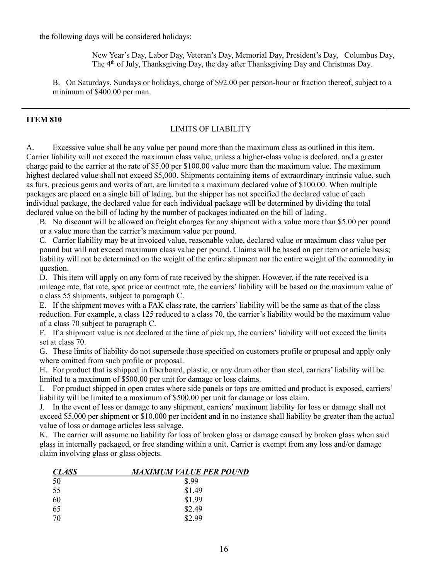the following days will be considered holidays:

New Year's Day, Labor Day, Veteran's Day, Memorial Day, President's Day, Columbus Day, The  $4<sup>th</sup>$  of July, Thanksgiving Day, the day after Thanksgiving Day and Christmas Day.

B. On Saturdays, Sundays or holidays, charge of \$92.00 per person-hour or fraction thereof, subject to a minimum of \$400.00 per man.

#### **ITEM 810**

#### LIMITS OF LIABILITY

A. Excessive value shall be any value per pound more than the maximum class as outlined in this item. Carrier liability will not exceed the maximum class value, unless a higher-class value is declared, and a greater charge paid to the carrier at the rate of \$5.00 per \$100.00 value more than the maximum value. The maximum highest declared value shall not exceed \$5,000. Shipments containing items of extraordinary intrinsic value, such as furs, precious gems and works of art, are limited to a maximum declared value of \$100.00. When multiple packages are placed on a single bill of lading, but the shipper has not specified the declared value of each individual package, the declared value for each individual package will be determined by dividing the total declared value on the bill of lading by the number of packages indicated on the bill of lading.

B. No discount will be allowed on freight charges for any shipment with a value more than \$5.00 per pound or a value more than the carrier's maximum value per pound.

C. Carrier liability may be at invoiced value, reasonable value, declared value or maximum class value per pound but will not exceed maximum class value per pound. Claims will be based on per item or article basis; liability will not be determined on the weight of the entire shipment nor the entire weight of the commodity in question.

D. This item will apply on any form of rate received by the shipper. However, if the rate received is a mileage rate, flat rate, spot price or contract rate, the carriers' liability will be based on the maximum value of a class 55 shipments, subject to paragraph C.

E. If the shipment moves with a FAK class rate, the carriers' liability will be the same as that of the class reduction. For example, a class 125 reduced to a class 70, the carrier's liability would be the maximum value of a class 70 subject to paragraph C.

F. If a shipment value is not declared at the time of pick up, the carriers' liability will not exceed the limits set at class 70.

G. These limits of liability do not supersede those specified on customers profile or proposal and apply only where omitted from such profile or proposal.

H. For product that is shipped in fiberboard, plastic, or any drum other than steel, carriers' liability will be limited to a maximum of \$500.00 per unit for damage or loss claims.

I. For product shipped in open crates where side panels or tops are omitted and product is exposed, carriers' liability will be limited to a maximum of \$500.00 per unit for damage or loss claim.

J. In the event of loss or damage to any shipment, carriers' maximum liability for loss or damage shall not exceed \$5,000 per shipment or \$10,000 per incident and in no instance shall liability be greater than the actual value of loss or damage articles less salvage.

K. The carrier will assume no liability for loss of broken glass or damage caused by broken glass when said glass in internally packaged, or free standing within a unit. Carrier is exempt from any loss and/or damage claim involving glass or glass objects.

| <b>CLASS</b> | MAXIMUM VALUE PER POUND |
|--------------|-------------------------|
| 50           | \$.99                   |
| 55           | \$1.49                  |
| 60           | \$1.99                  |
| 65           | \$2.49                  |
| 70           | \$2.99                  |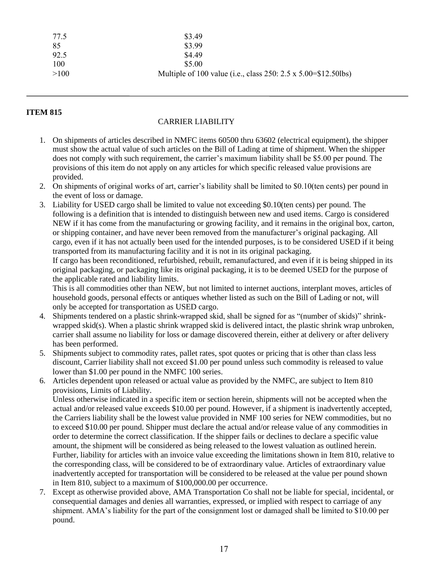| 77.5 | \$3.49                                                         |
|------|----------------------------------------------------------------|
| -85  | \$3.99                                                         |
| 92.5 | \$4.49                                                         |
| 100  | \$5.00                                                         |
| >100 | Multiple of 100 value (i.e., class 250: 2.5 x 5.00=\$12.50lbs) |

#### CARRIER LIABILITY

- 1. On shipments of articles described in NMFC items 60500 thru 63602 (electrical equipment), the shipper must show the actual value of such articles on the Bill of Lading at time of shipment. When the shipper does not comply with such requirement, the carrier's maximum liability shall be \$5.00 per pound. The provisions of this item do not apply on any articles for which specific released value provisions are provided.
- 2. On shipments of original works of art, carrier's liability shall be limited to \$0.10(ten cents) per pound in the event of loss or damage.
- 3. Liability for USED cargo shall be limited to value not exceeding \$0.10(ten cents) per pound. The following is a definition that is intended to distinguish between new and used items. Cargo is considered NEW if it has come from the manufacturing or growing facility, and it remains in the original box, carton, or shipping container, and have never been removed from the manufacturer's original packaging. All cargo, even if it has not actually been used for the intended purposes, is to be considered USED if it being transported from its manufacturing facility and it is not in its original packaging. If cargo has been reconditioned, refurbished, rebuilt, remanufactured, and even if it is being shipped in its original packaging, or packaging like its original packaging, it is to be deemed USED for the purpose of

the applicable rated and liability limits. This is all commodities other than NEW, but not limited to internet auctions, interplant moves, articles of household goods, personal effects or antiques whether listed as such on the Bill of Lading or not, will only be accepted for transportation as USED cargo.

- 4. Shipments tendered on a plastic shrink-wrapped skid, shall be signed for as "(number of skids)" shrinkwrapped skid(s). When a plastic shrink wrapped skid is delivered intact, the plastic shrink wrap unbroken, carrier shall assume no liability for loss or damage discovered therein, either at delivery or after delivery has been performed.
- 5. Shipments subject to commodity rates, pallet rates, spot quotes or pricing that is other than class less discount, Carrier liability shall not exceed \$1.00 per pound unless such commodity is released to value lower than \$1.00 per pound in the NMFC 100 series.
- 6. Articles dependent upon released or actual value as provided by the NMFC, are subject to Item 810 provisions, Limits of Liability.

Unless otherwise indicated in a specific item or section herein, shipments will not be accepted when the actual and/or released value exceeds \$10.00 per pound. However, if a shipment is inadvertently accepted, the Carriers liability shall be the lowest value provided in NMF 100 series for NEW commodities, but no to exceed \$10.00 per pound. Shipper must declare the actual and/or release value of any commodities in order to determine the correct classification. If the shipper fails or declines to declare a specific value amount, the shipment will be considered as being released to the lowest valuation as outlined herein. Further, liability for articles with an invoice value exceeding the limitations shown in Item 810, relative to the corresponding class, will be considered to be of extraordinary value. Articles of extraordinary value inadvertently accepted for transportation will be considered to be released at the value per pound shown in Item 810, subject to a maximum of \$100,000.00 per occurrence.

7. Except as otherwise provided above, AMA Transportation Co shall not be liable for special, incidental, or consequential damages and denies all warranties, expressed, or implied with respect to carriage of any shipment. AMA's liability for the part of the consignment lost or damaged shall be limited to \$10.00 per pound.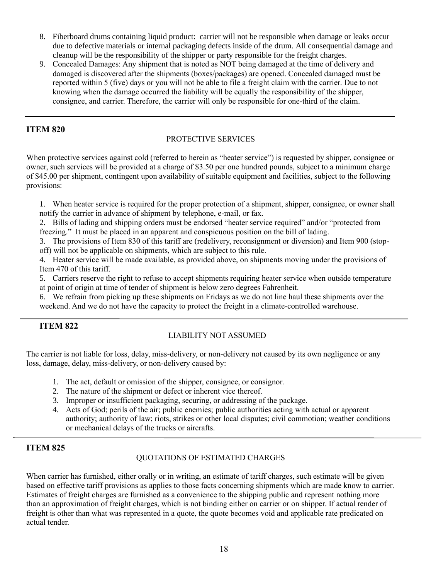- 8. Fiberboard drums containing liquid product: carrier will not be responsible when damage or leaks occur due to defective materials or internal packaging defects inside of the drum. All consequential damage and cleanup will be the responsibility of the shipper or party responsible for the freight charges.
- 9. Concealed Damages: Any shipment that is noted as NOT being damaged at the time of delivery and damaged is discovered after the shipments (boxes/packages) are opened. Concealed damaged must be reported within 5 (five) days or you will not be able to file a freight claim with the carrier. Due to not knowing when the damage occurred the liability will be equally the responsibility of the shipper, consignee, and carrier. Therefore, the carrier will only be responsible for one-third of the claim.

#### PROTECTIVE SERVICES

When protective services against cold (referred to herein as "heater service") is requested by shipper, consignee or owner, such services will be provided at a charge of \$3.50 per one hundred pounds, subject to a minimum charge of \$45.00 per shipment, contingent upon availability of suitable equipment and facilities, subject to the following provisions:

1. When heater service is required for the proper protection of a shipment, shipper, consignee, or owner shall notify the carrier in advance of shipment by telephone, e-mail, or fax.

2. Bills of lading and shipping orders must be endorsed "heater service required" and/or "protected from freezing." It must be placed in an apparent and conspicuous position on the bill of lading.

3. The provisions of Item 830 of this tariff are (redelivery, reconsignment or diversion) and Item 900 (stopoff) will not be applicable on shipments, which are subject to this rule.

4. Heater service will be made available, as provided above, on shipments moving under the provisions of Item 470 of this tariff.

5. Carriers reserve the right to refuse to accept shipments requiring heater service when outside temperature at point of origin at time of tender of shipment is below zero degrees Fahrenheit.

6. We refrain from picking up these shipments on Fridays as we do not line haul these shipments over the weekend. And we do not have the capacity to protect the freight in a climate-controlled warehouse.

## **ITEM 822**

## LIABILITY NOT ASSUMED

The carrier is not liable for loss, delay, miss-delivery, or non-delivery not caused by its own negligence or any loss, damage, delay, miss-delivery, or non-delivery caused by:

- 1. The act, default or omission of the shipper, consignee, or consignor.
- 2. The nature of the shipment or defect or inherent vice thereof.
- 3. Improper or insufficient packaging, securing, or addressing of the package.
- 4. Acts of God; perils of the air; public enemies; public authorities acting with actual or apparent authority; authority of law; riots, strikes or other local disputes; civil commotion; weather conditions or mechanical delays of the trucks or aircrafts.

## **ITEM 825**

## QUOTATIONS OF ESTIMATED CHARGES

When carrier has furnished, either orally or in writing, an estimate of tariff charges, such estimate will be given based on effective tariff provisions as applies to those facts concerning shipments which are made know to carrier. Estimates of freight charges are furnished as a convenience to the shipping public and represent nothing more than an approximation of freight charges, which is not binding either on carrier or on shipper. If actual render of freight is other than what was represented in a quote, the quote becomes void and applicable rate predicated on actual tender.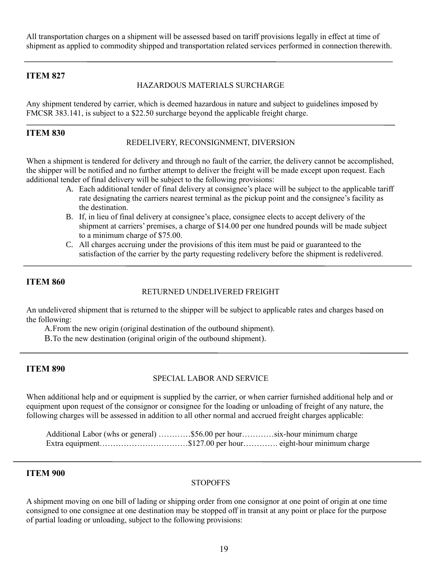All transportation charges on a shipment will be assessed based on tariff provisions legally in effect at time of shipment as applied to commodity shipped and transportation related services performed in connection therewith.

#### **ITEM 827**

#### HAZARDOUS MATERIALS SURCHARGE

Any shipment tendered by carrier, which is deemed hazardous in nature and subject to guidelines imposed by FMCSR 383.141, is subject to a \$22.50 surcharge beyond the applicable freight charge.

#### **ITEM 830**

#### REDELIVERY, RECONSIGNMENT, DIVERSION

When a shipment is tendered for delivery and through no fault of the carrier, the delivery cannot be accomplished, the shipper will be notified and no further attempt to deliver the freight will be made except upon request. Each additional tender of final delivery will be subject to the following provisions:

- A. Each additional tender of final delivery at consignee's place will be subject to the applicable tariff rate designating the carriers nearest terminal as the pickup point and the consignee's facility as the destination.
- B. If, in lieu of final delivery at consignee's place, consignee elects to accept delivery of the shipment at carriers' premises, a charge of \$14.00 per one hundred pounds will be made subject to a minimum charge of \$75.00.
- C. All charges accruing under the provisions of this item must be paid or guaranteed to the satisfaction of the carrier by the party requesting redelivery before the shipment is redelivered.

#### **ITEM 860**

#### RETURNED UNDELIVERED FREIGHT

An undelivered shipment that is returned to the shipper will be subject to applicable rates and charges based on the following:

A.From the new origin (original destination of the outbound shipment).

B.To the new destination (original origin of the outbound shipment).

#### **ITEM 890**

#### SPECIAL LABOR AND SERVICE

When additional help and or equipment is supplied by the carrier, or when carrier furnished additional help and or equipment upon request of the consignor or consignee for the loading or unloading of freight of any nature, the following charges will be assessed in addition to all other normal and accrued freight charges applicable:

Additional Labor (whs or general) …………\$56.00 per hour…………six-hour minimum charge Extra equipment……………………………\$127.00 per hour…………. eight-hour minimum charge

#### **ITEM 900**

#### **STOPOFFS**

A shipment moving on one bill of lading or shipping order from one consignor at one point of origin at one time consigned to one consignee at one destination may be stopped off in transit at any point or place for the purpose of partial loading or unloading, subject to the following provisions: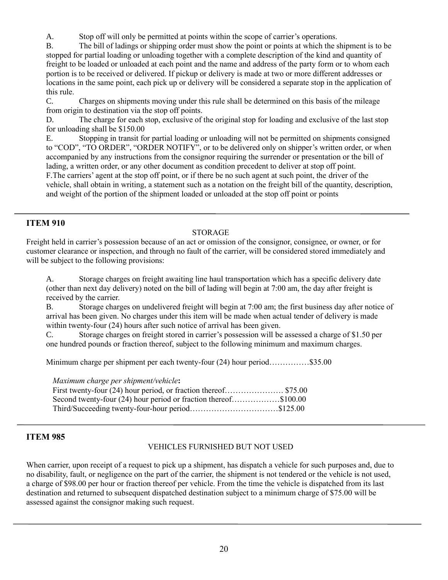A. Stop off will only be permitted at points within the scope of carrier's operations.

B. The bill of ladings or shipping order must show the point or points at which the shipment is to be stopped for partial loading or unloading together with a complete description of the kind and quantity of freight to be loaded or unloaded at each point and the name and address of the party form or to whom each portion is to be received or delivered. If pickup or delivery is made at two or more different addresses or locations in the same point, each pick up or delivery will be considered a separate stop in the application of this rule.

C. Charges on shipments moving under this rule shall be determined on this basis of the mileage from origin to destination via the stop off points.

D. The charge for each stop, exclusive of the original stop for loading and exclusive of the last stop for unloading shall be \$150.00

E. Stopping in transit for partial loading or unloading will not be permitted on shipments consigned to "COD", "TO ORDER", "ORDER NOTIFY", or to be delivered only on shipper's written order, or when accompanied by any instructions from the consignor requiring the surrender or presentation or the bill of lading, a written order, or any other document as condition precedent to deliver at stop off point. F.The carriers' agent at the stop off point, or if there be no such agent at such point, the driver of the vehicle, shall obtain in writing, a statement such as a notation on the freight bill of the quantity, description, and weight of the portion of the shipment loaded or unloaded at the stop off point or points

## **ITEM 910**

#### STORAGE

Freight held in carrier's possession because of an act or omission of the consignor, consignee, or owner, or for customer clearance or inspection, and through no fault of the carrier, will be considered stored immediately and will be subject to the following provisions:

A. Storage charges on freight awaiting line haul transportation which has a specific delivery date (other than next day delivery) noted on the bill of lading will begin at 7:00 am, the day after freight is received by the carrier.

B. Storage charges on undelivered freight will begin at 7:00 am; the first business day after notice of arrival has been given. No charges under this item will be made when actual tender of delivery is made within twenty-four (24) hours after such notice of arrival has been given.

C. Storage charges on freight stored in carrier's possession will be assessed a charge of \$1.50 per one hundred pounds or fraction thereof, subject to the following minimum and maximum charges.

Minimum charge per shipment per each twenty-four (24) hour period……………\$35.00

*Maximum charge per shipment/vehicle***:**

First twenty-four (24) hour period, or fraction thereof………………………… \$75.00 Second twenty-four (24) hour period or fraction thereof……………\$100.00 Third/Succeeding twenty-four-hour period……………………………\$125.00

## **ITEM 985**

## VEHICLES FURNISHED BUT NOT USED

When carrier, upon receipt of a request to pick up a shipment, has dispatch a vehicle for such purposes and, due to no disability, fault, or negligence on the part of the carrier, the shipment is not tendered or the vehicle is not used, a charge of \$98.00 per hour or fraction thereof per vehicle. From the time the vehicle is dispatched from its last destination and returned to subsequent dispatched destination subject to a minimum charge of \$75.00 will be assessed against the consignor making such request.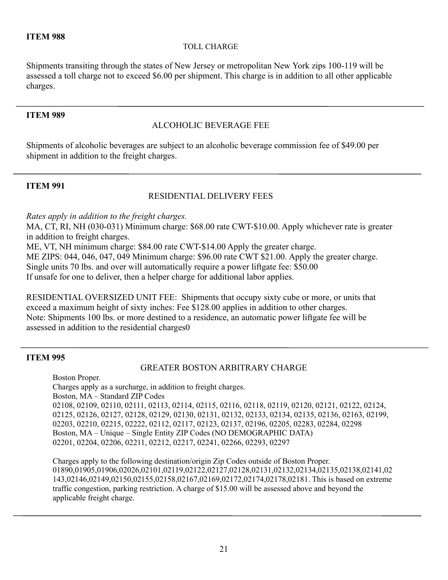## TOLL CHARGE

Shipments transiting through the states of New Jersey or metropolitan New York zips 100-119 will be assessed a toll charge not to exceed \$6.00 per shipment. This charge is in addition to all other applicable charges.

## **ITEM 989**

## ALCOHOLIC BEVERAGE FEE

Shipments of alcoholic beverages are subject to an alcoholic beverage commission fee of \$49.00 per shipment in addition to the freight charges.

## **ITEM 991**

## RESIDENTIAL DELIVERY FEES

*Rates apply in addition to the freight charges.*

MA, CT, RI, NH (030-031) Minimum charge: \$68.00 rate CWT-\$10.00. Apply whichever rate is greater in addition to freight charges.

ME, VT, NH minimum charge: \$84.00 rate CWT-\$14.00 Apply the greater charge.

ME ZIPS: 044, 046, 047, 049 Minimum charge: \$96.00 rate CWT \$21.00. Apply the greater charge.

Single units 70 lbs. and over will automatically require a power liftgate fee: \$50.00

If unsafe for one to deliver, then a helper charge for additional labor applies.

RESIDENTIAL OVERSIZED UNIT FEE: Shipments that occupy sixty cube or more, or units that exceed a maximum height of sixty inches: Fee \$128.00 applies in addition to other charges. Note: Shipments 100 lbs. or more destined to a residence, an automatic power liftgate fee will be assessed in addition to the residential charges0

## **ITEM 995**

## GREATER BOSTON ARBITRARY CHARGE

Boston Proper. Charges apply as a surcharge, in addition to freight charges. Boston, MA – Standard ZIP Codes 02108, 02109, 02110, 02111, 02113, 02114, 02115, 02116, 02118, 02119, 02120, 02121, 02122, 02124, 02125, 02126, 02127, 02128, 02129, 02130, 02131, 02132, 02133, 02134, 02135, 02136, 02163, 02199, 02203, 02210, 02215, 02222, 02112, 02117, 02123, 02137, 02196, 02205, 02283, 02284, 02298 Boston, MA – Unique – Single Entity ZIP Codes (NO DEMOGRAPHIC DATA) 02201, 02204, 02206, 02211, 02212, 02217, 02241, 02266, 02293, 02297

Charges apply to the following destination/origin Zip Codes outside of Boston Proper. 01890,01905,01906,02026,02101,02119,02122,02127,02128,02131,02132,02134,02135,02138,02141,02 143,02146,02149,02150,02155,02158,02167,02169,02172,02174,02178,02181. This is based on extreme traffic congestion, parking restriction. A charge of \$15.00 will be assessed above and beyond the applicable freight charge.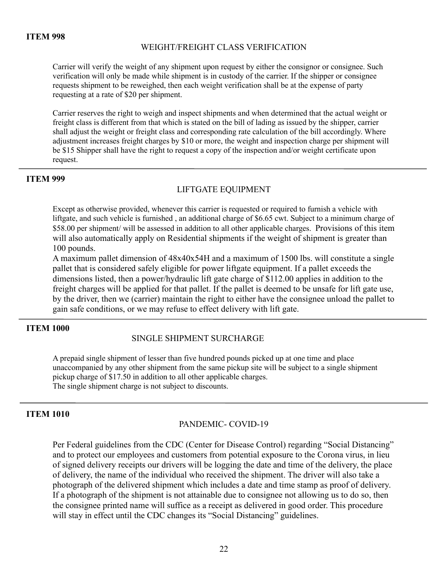#### WEIGHT/FREIGHT CLASS VERIFICATION

Carrier will verify the weight of any shipment upon request by either the consignor or consignee. Such verification will only be made while shipment is in custody of the carrier. If the shipper or consignee requests shipment to be reweighed, then each weight verification shall be at the expense of party requesting at a rate of \$20 per shipment.

Carrier reserves the right to weigh and inspect shipments and when determined that the actual weight or freight class is different from that which is stated on the bill of lading as issued by the shipper, carrier shall adjust the weight or freight class and corresponding rate calculation of the bill accordingly. Where adjustment increases freight charges by \$10 or more, the weight and inspection charge per shipment will be \$15 Shipper shall have the right to request a copy of the inspection and/or weight certificate upon request.

#### **ITEM 999**

## LIFTGATE EQUIPMENT

Except as otherwise provided, whenever this carrier is requested or required to furnish a vehicle with liftgate, and such vehicle is furnished , an additional charge of \$6.65 cwt. Subject to a minimum charge of \$58.00 per shipment/ will be assessed in addition to all other applicable charges. Provisions of this item will also automatically apply on Residential shipments if the weight of shipment is greater than 100 pounds.

A maximum pallet dimension of 48x40x54H and a maximum of 1500 lbs. will constitute a single pallet that is considered safely eligible for power liftgate equipment. If a pallet exceeds the dimensions listed, then a power/hydraulic lift gate charge of \$112.00 applies in addition to the freight charges will be applied for that pallet. If the pallet is deemed to be unsafe for lift gate use, by the driver, then we (carrier) maintain the right to either have the consignee unload the pallet to gain safe conditions, or we may refuse to effect delivery with lift gate.

#### **ITEM 1000**

## SINGLE SHIPMENT SURCHARGE

A prepaid single shipment of lesser than five hundred pounds picked up at one time and place unaccompanied by any other shipment from the same pickup site will be subject to a single shipment pickup charge of \$17.50 in addition to all other applicable charges. The single shipment charge is not subject to discounts.

#### **ITEM 1010**

## PANDEMIC- COVID-19

Per Federal guidelines from the CDC (Center for Disease Control) regarding "Social Distancing" and to protect our employees and customers from potential exposure to the Corona virus, in lieu of signed delivery receipts our drivers will be logging the date and time of the delivery, the place of delivery, the name of the individual who received the shipment. The driver will also take a photograph of the delivered shipment which includes a date and time stamp as proof of delivery. If a photograph of the shipment is not attainable due to consignee not allowing us to do so, then the consignee printed name will suffice as a receipt as delivered in good order. This procedure will stay in effect until the CDC changes its "Social Distancing" guidelines.